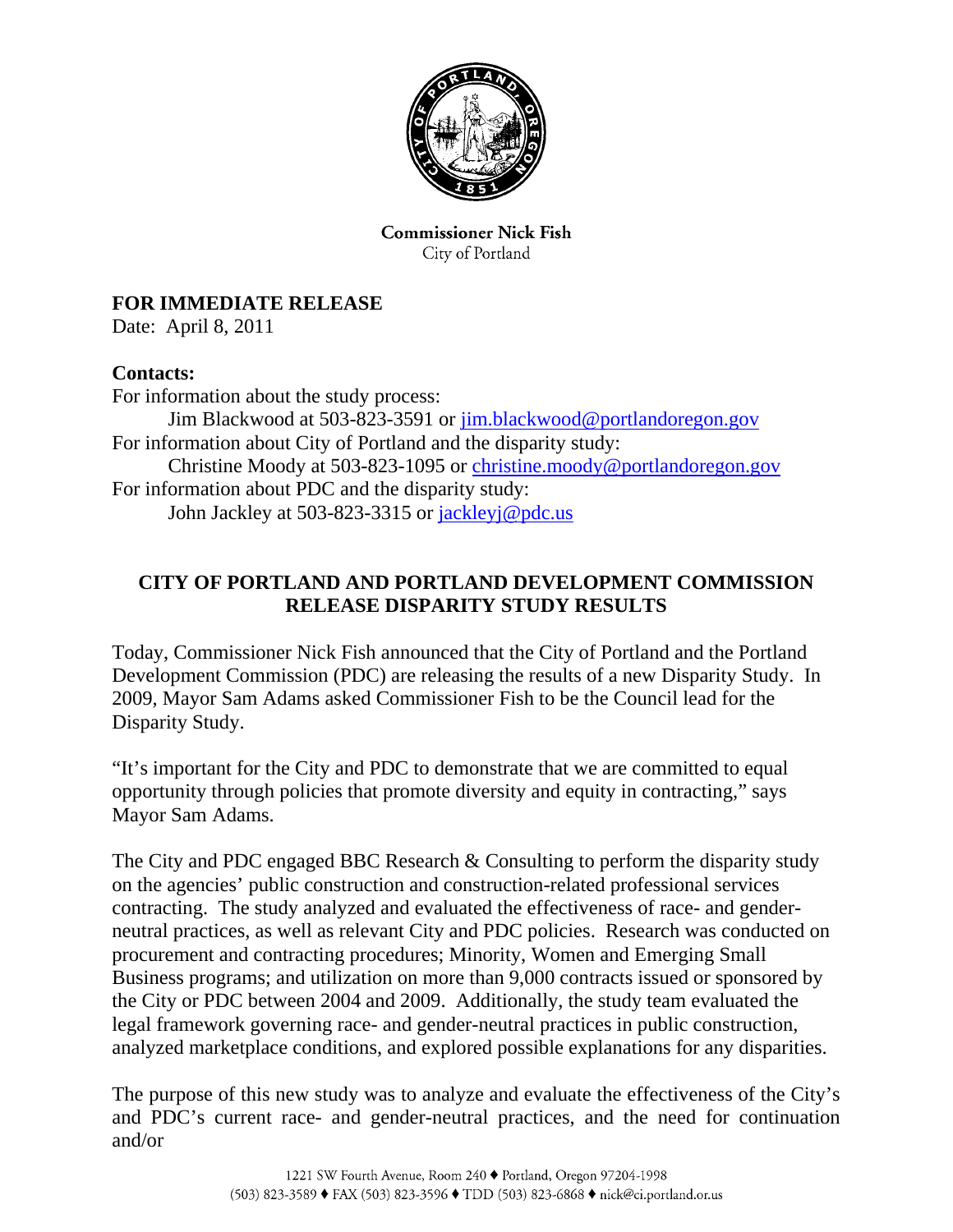

**Commissioner Nick Fish** City of Portland

## **FOR IMMEDIATE RELEASE**

Date: April 8, 2011

## **Contacts:**

For information about the study process: Jim Blackwood at 503-823-3591 or jim.blackwood@portlandoregon.gov For information about City of Portland and the disparity study: Christine Moody at 503-823-1095 or christine.moody@portlandoregon.gov For information about PDC and the disparity study: John Jackley at 503-823-3315 or jackleyj@pdc.us

## **CITY OF PORTLAND AND PORTLAND DEVELOPMENT COMMISSION RELEASE DISPARITY STUDY RESULTS**

Today, Commissioner Nick Fish announced that the City of Portland and the Portland Development Commission (PDC) are releasing the results of a new Disparity Study. In 2009, Mayor Sam Adams asked Commissioner Fish to be the Council lead for the Disparity Study.

"It's important for the City and PDC to demonstrate that we are committed to equal opportunity through policies that promote diversity and equity in contracting," says Mayor Sam Adams.

The City and PDC engaged BBC Research & Consulting to perform the disparity study on the agencies' public construction and construction-related professional services contracting. The study analyzed and evaluated the effectiveness of race- and genderneutral practices, as well as relevant City and PDC policies. Research was conducted on procurement and contracting procedures; Minority, Women and Emerging Small Business programs; and utilization on more than 9,000 contracts issued or sponsored by the City or PDC between 2004 and 2009. Additionally, the study team evaluated the legal framework governing race- and gender-neutral practices in public construction, analyzed marketplace conditions, and explored possible explanations for any disparities.

The purpose of this new study was to analyze and evaluate the effectiveness of the City's and PDC's current race- and gender-neutral practices, and the need for continuation and/or